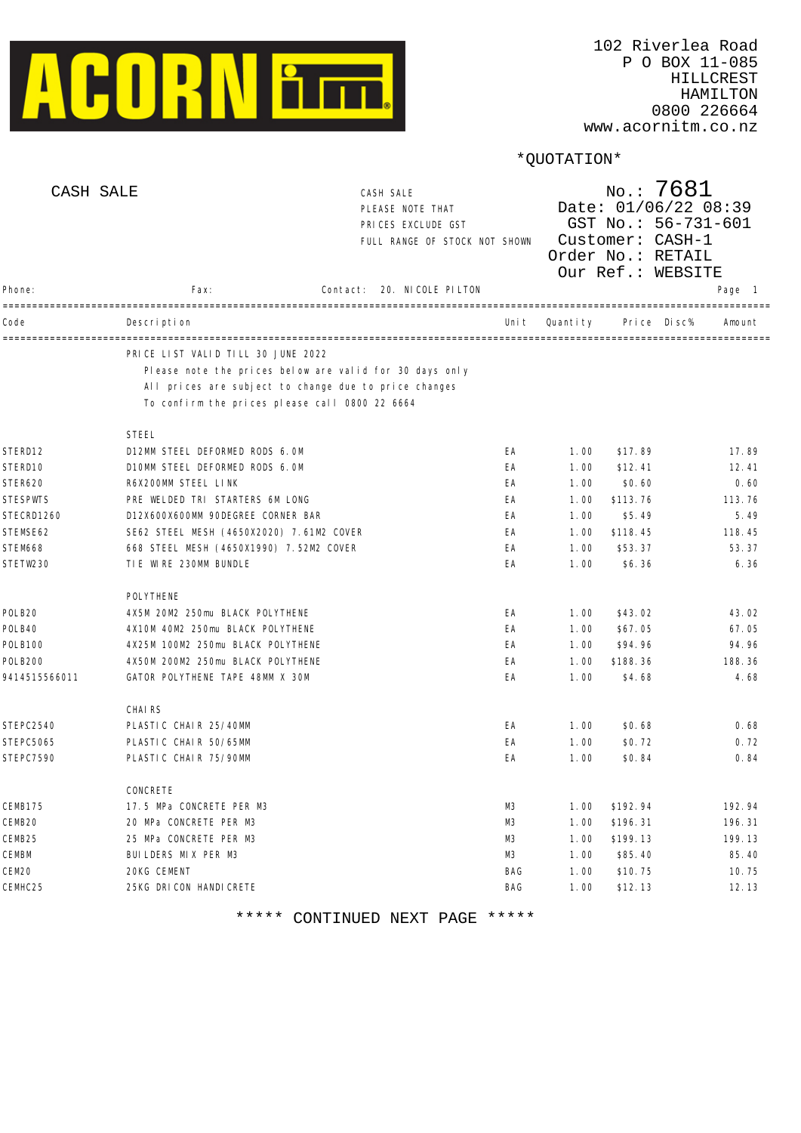

www.acornitm.co.nz

# \*QUOTATION\*

| CASH SALE     |                                                                                                         | CASH SALE<br>PLEASE NOTE THAT<br>PRICES EXCLUDE GST<br>FULL RANGE OF STOCK NOT SHOWN |       | No.: 7681<br>Date: 01/06/22 08:39<br>GST No.: 56-731-601<br>Customer: CASH-1<br>Order No.: RETAIL<br>Our Ref.: WEBSITE |                  |                              |  |  |
|---------------|---------------------------------------------------------------------------------------------------------|--------------------------------------------------------------------------------------|-------|------------------------------------------------------------------------------------------------------------------------|------------------|------------------------------|--|--|
| Phone:        | Fax:                                                                                                    | 20. NICOLE PILTON<br>Contact:                                                        |       |                                                                                                                        |                  | Page 1                       |  |  |
| Code          | Description                                                                                             |                                                                                      | Uni t | Quantity                                                                                                               | Di sc%<br>Pri ce | ------------------<br>Amount |  |  |
|               | PRICE LIST VALID TILL 30 JUNE 2022                                                                      | Please note the prices below are valid for 30 days only                              |       |                                                                                                                        |                  |                              |  |  |
|               | All prices are subject to change due to price changes<br>To confirm the prices please call 0800 22 6664 |                                                                                      |       |                                                                                                                        |                  |                              |  |  |
|               | <b>STEEL</b>                                                                                            |                                                                                      |       |                                                                                                                        |                  |                              |  |  |
| STERD12       | D12MM STEEL DEFORMED RODS 6. OM                                                                         |                                                                                      | EA    | 1.00                                                                                                                   | \$17.89          | 17.89                        |  |  |
| STERD10       | D10MM STEEL DEFORMED RODS 6.0M                                                                          |                                                                                      | EA    | 1.00                                                                                                                   | \$12.41          | 12.41                        |  |  |
| STER620       | R6X200MM STEEL LINK                                                                                     |                                                                                      | EA    | 1.00                                                                                                                   | \$0.60           | 0.60                         |  |  |
| STESPWTS      | PRE WELDED TRI STARTERS 6M LONG                                                                         |                                                                                      | EA    | 1.00                                                                                                                   | \$113.76         | 113.76                       |  |  |
| STECRD1260    | D12X600X600MM 90DEGREE CORNER BAR                                                                       |                                                                                      | EA    | 1.00                                                                                                                   | \$5.49           | 5.49                         |  |  |
| STEMSE62      | SE62 STEEL MESH (4650X2020) 7.61M2 COVER                                                                |                                                                                      | EA    | 1.00                                                                                                                   | \$118.45         | 118.45                       |  |  |
| STEM668       | 668 STEEL MESH (4650X1990) 7.52M2 COVER                                                                 |                                                                                      | EA    | 1.00                                                                                                                   | \$53.37          | 53.37                        |  |  |
| STETW230      | TIE WIRE 230MM BUNDLE                                                                                   |                                                                                      | EA    | 1.00                                                                                                                   | \$6.36           | 6.36                         |  |  |
|               | POLYTHENE                                                                                               |                                                                                      |       |                                                                                                                        |                  |                              |  |  |
| POLB20        | 4X5M 20M2 250mu BLACK POLYTHENE                                                                         |                                                                                      | EA    | 1.00                                                                                                                   | \$43.02          | 43.02                        |  |  |
| POLB40        | 4X10M 40M2 250mu BLACK POLYTHENE                                                                        |                                                                                      | EA    | 1.00                                                                                                                   | \$67.05          | 67.05                        |  |  |
| POLB100       | 4X25M 100M2 250mu BLACK POLYTHENE                                                                       |                                                                                      | EA    | 1.00                                                                                                                   | \$94.96          | 94.96                        |  |  |
| POLB200       | 4X50M 200M2 250mu BLACK POLYTHENE                                                                       |                                                                                      | EA    | 1.00                                                                                                                   | \$188.36         | 188.36                       |  |  |
| 9414515566011 | GATOR POLYTHENE TAPE 48MM X 30M                                                                         |                                                                                      | EA    | 1.00                                                                                                                   | \$4.68           | 4.68                         |  |  |
|               | <b>CHAIRS</b>                                                                                           |                                                                                      |       |                                                                                                                        |                  |                              |  |  |
| STEPC2540     | PLASTIC CHAIR 25/40MM                                                                                   |                                                                                      | EA    | 1.00                                                                                                                   | \$0.68           | 0.68                         |  |  |
| STEPC5065     | PLASTIC CHAIR 50/65MM                                                                                   |                                                                                      | EA    | 1.00                                                                                                                   | \$0.72           | 0.72                         |  |  |
| STEPC7590     | PLASTIC CHAIR 75/90MM                                                                                   |                                                                                      | EA    | 1.00                                                                                                                   | \$0.84           | 0.84                         |  |  |
|               | CONCRETE                                                                                                |                                                                                      |       |                                                                                                                        |                  |                              |  |  |
| CEMB175       | 17.5 MPa CONCRETE PER M3                                                                                |                                                                                      | MЗ    | 1.00                                                                                                                   | \$192.94         | 192.94                       |  |  |
| CEMB20        | 20 MPa CONCRETE PER M3                                                                                  |                                                                                      | M3    | 1.00                                                                                                                   | \$196.31         | 196.31                       |  |  |
| CEMB25        | 25 MPa CONCRETE PER M3                                                                                  |                                                                                      | M3    | 1.00                                                                                                                   | \$199.13         | 199.13                       |  |  |
| CEMBM         | BUILDERS MIX PER M3                                                                                     |                                                                                      | MЗ    | 1.00                                                                                                                   | \$85.40          | 85.40                        |  |  |
| CEM20         | 20KG CEMENT                                                                                             |                                                                                      | BAG   | 1.00                                                                                                                   | \$10.75          | 10.75                        |  |  |
| CEMHC25       | 25KG DRICON HANDICRETE                                                                                  |                                                                                      | BAG   | 1.00                                                                                                                   | \$12.13          | 12.13                        |  |  |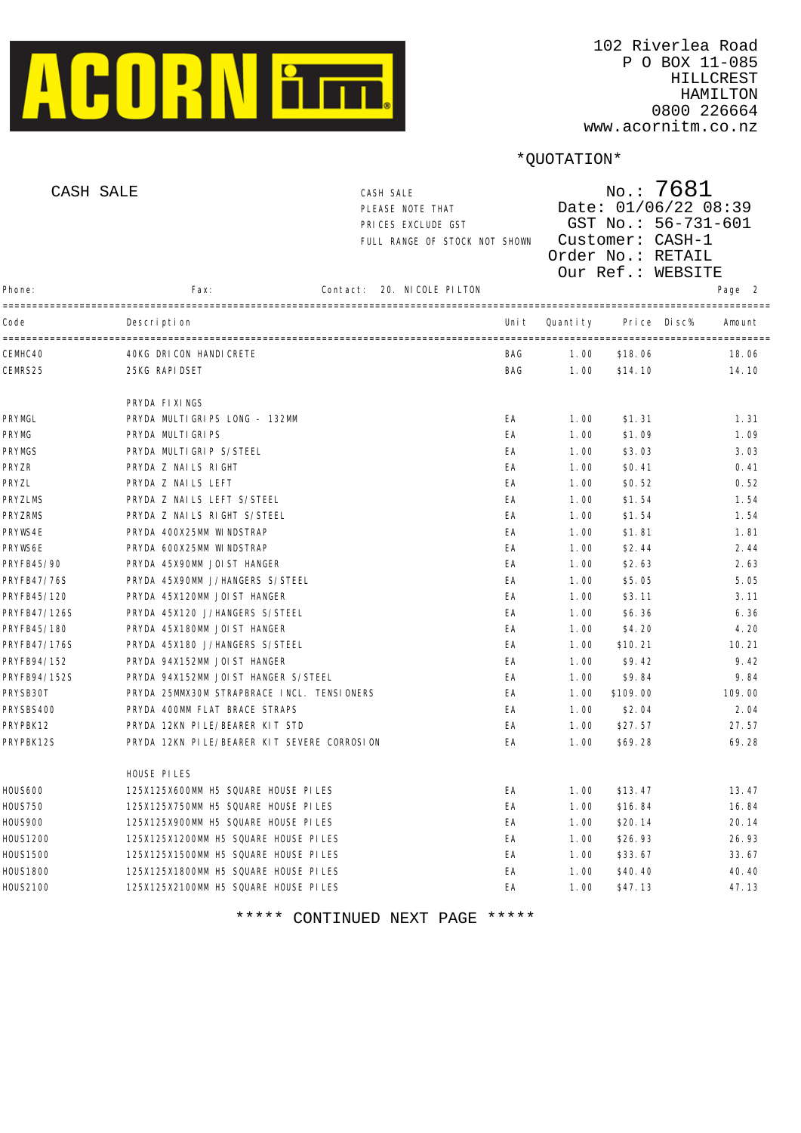

| CASH SALE      |                                               | CASH SALE<br>PLEASE NOTE THAT<br>PRICES EXCLUDE GST<br>FULL RANGE OF STOCK NOT SHOWN |                   |       | $N$ o.: 7681<br>Date: 01/06/22 08:39<br>GST No.: 56-731-601<br>Customer: CASH-1<br>Order No.: RETAIL<br>Our Ref.: WEBSITE |          |        |        |
|----------------|-----------------------------------------------|--------------------------------------------------------------------------------------|-------------------|-------|---------------------------------------------------------------------------------------------------------------------------|----------|--------|--------|
| Phone:         | Fax:                                          | Contact:                                                                             | 20. NICOLE PILTON |       |                                                                                                                           |          |        | Page 2 |
| Code           | Description                                   |                                                                                      |                   | Uni t | Quanti ty                                                                                                                 | Pri ce   | Di sc% | Amount |
| CEMHC40        | -------------------<br>40KG DRICON HANDICRETE |                                                                                      |                   | BAG   | 1.00                                                                                                                      | \$18.06  |        | 18.06  |
| CEMRS25        | 25KG RAPI DSET                                |                                                                                      |                   | BAG   | 1.00                                                                                                                      | \$14.10  |        | 14.10  |
|                | PRYDA FIXINGS                                 |                                                                                      |                   |       |                                                                                                                           |          |        |        |
| PRYMGL         | PRYDA MULTIGRIPS LONG - 132MM                 |                                                                                      |                   | EA    | 1.00                                                                                                                      | \$1.31   |        | 1.31   |
| PRYMG          | PRYDA MULTI GRI PS                            |                                                                                      |                   | EA    | 1.00                                                                                                                      | \$1.09   |        | 1.09   |
| PRYMGS         | PRYDA MULTIGRIP S/STEEL                       |                                                                                      |                   | EA    | 1.00                                                                                                                      | \$3.03   |        | 3.03   |
| PRYZR          | PRYDA Z NAILS RIGHT                           |                                                                                      |                   | EA    | 1.00                                                                                                                      | \$0.41   |        | 0.41   |
| PRYZL          | PRYDA Z NAILS LEFT                            |                                                                                      |                   | EA    | 1.00                                                                                                                      | \$0.52   |        | 0.52   |
| <b>PRYZLMS</b> | PRYDA Z NAILS LEFT S/STEEL                    |                                                                                      |                   | EA    | 1.00                                                                                                                      | \$1.54   |        | 1.54   |
| <b>PRYZRMS</b> | PRYDA Z NAILS RIGHT S/STEEL                   |                                                                                      |                   | EA    | 1.00                                                                                                                      | \$1.54   |        | 1.54   |
| PRYWS4E        | PRYDA 400X25MM WINDSTRAP                      |                                                                                      |                   | EA    | 1.00                                                                                                                      | \$1.81   |        | 1.81   |
| PRYWS6E        | PRYDA 600X25MM WINDSTRAP                      |                                                                                      |                   | EA    | 1.00                                                                                                                      | \$2.44   |        | 2.44   |
| PRYFB45/90     | PRYDA 45X90MM JOIST HANGER                    |                                                                                      |                   | EA    | 1.00                                                                                                                      | \$2.63   |        | 2.63   |
| PRYFB47/76S    | PRYDA 45X90MM J/HANGERS S/STEEL               |                                                                                      |                   | EA    | 1.00                                                                                                                      | \$5.05   |        | 5.05   |
| PRYFB45/120    | PRYDA 45X120MM JOIST HANGER                   |                                                                                      |                   | EA    | 1.00                                                                                                                      | \$3.11   |        | 3.11   |
| PRYFB47/126S   | PRYDA 45X120 J/HANGERS S/STEEL                |                                                                                      |                   | EA    | 1.00                                                                                                                      | \$6.36   |        | 6.36   |
| PRYFB45/180    | PRYDA 45X180MM JOIST HANGER                   |                                                                                      |                   | EA    | 1.00                                                                                                                      | \$4.20   |        | 4.20   |
| PRYFB47/176S   | PRYDA 45X180 J/HANGERS S/STEEL                |                                                                                      |                   | EA    | 1.00                                                                                                                      | \$10.21  |        | 10.21  |
| PRYFB94/152    | PRYDA 94X152MM JOIST HANGER                   |                                                                                      |                   | EA    | 1.00                                                                                                                      | \$9.42   |        | 9.42   |
| PRYFB94/152S   | PRYDA 94X152MM JOIST HANGER S/STEEL           |                                                                                      |                   | EA    | 1.00                                                                                                                      | \$9.84   |        | 9.84   |
| PRYSB30T       | PRYDA 25MMX30M STRAPBRACE INCL. TENSIONERS    |                                                                                      |                   | EA    | 1.00                                                                                                                      | \$109.00 |        | 109.00 |
| PRYSBS400      | PRYDA 400MM FLAT BRACE STRAPS                 |                                                                                      |                   | EA    | 1.00                                                                                                                      | \$2.04   |        | 2.04   |
| PRYPBK12       | PRYDA 12KN PILE/BEARER KIT STD                |                                                                                      |                   | EA    | 1.00                                                                                                                      | \$27.57  |        | 27.57  |
| PRYPBK12S      | PRYDA 12KN PILE/BEARER KIT SEVERE CORROSION   |                                                                                      |                   | ЕA    | 1.00                                                                                                                      | \$69.28  |        | 69.28  |
|                | HOUSE PILES                                   |                                                                                      |                   |       |                                                                                                                           |          |        |        |
| HOUS600        | 125X125X600MM H5 SQUARE HOUSE PILES           |                                                                                      |                   | EA    | 1.00                                                                                                                      | \$13.47  |        | 13.47  |
| <b>HOUS750</b> | 125X125X750MM H5 SQUARE HOUSE PILES           |                                                                                      |                   | EA    | 1.00                                                                                                                      | \$16.84  |        | 16.84  |
| <b>HOUS900</b> | 125X125X900MM H5 SQUARE HOUSE PILES           |                                                                                      |                   | EA    | 1.00                                                                                                                      | \$20.14  |        | 20.14  |
| H0US1200       | 125X125X1200MM H5 SQUARE HOUSE PILES          |                                                                                      |                   | EA    | 1.00                                                                                                                      | \$26.93  |        | 26.93  |
| HOUS1500       | 125X125X1500MM H5 SQUARE HOUSE PILES          |                                                                                      |                   | EA    | 1.00                                                                                                                      | \$33.67  |        | 33.67  |
| HOUS1800       | 125X125X1800MM H5 SQUARE HOUSE PILES          |                                                                                      |                   | EA    | 1.00                                                                                                                      | \$40.40  |        | 40.40  |
| H0US2100       | 125X125X2100MM H5 SQUARE HOUSE PILES          |                                                                                      |                   | EA    | 1.00                                                                                                                      | \$47.13  |        | 47.13  |
|                |                                               |                                                                                      |                   |       |                                                                                                                           |          |        |        |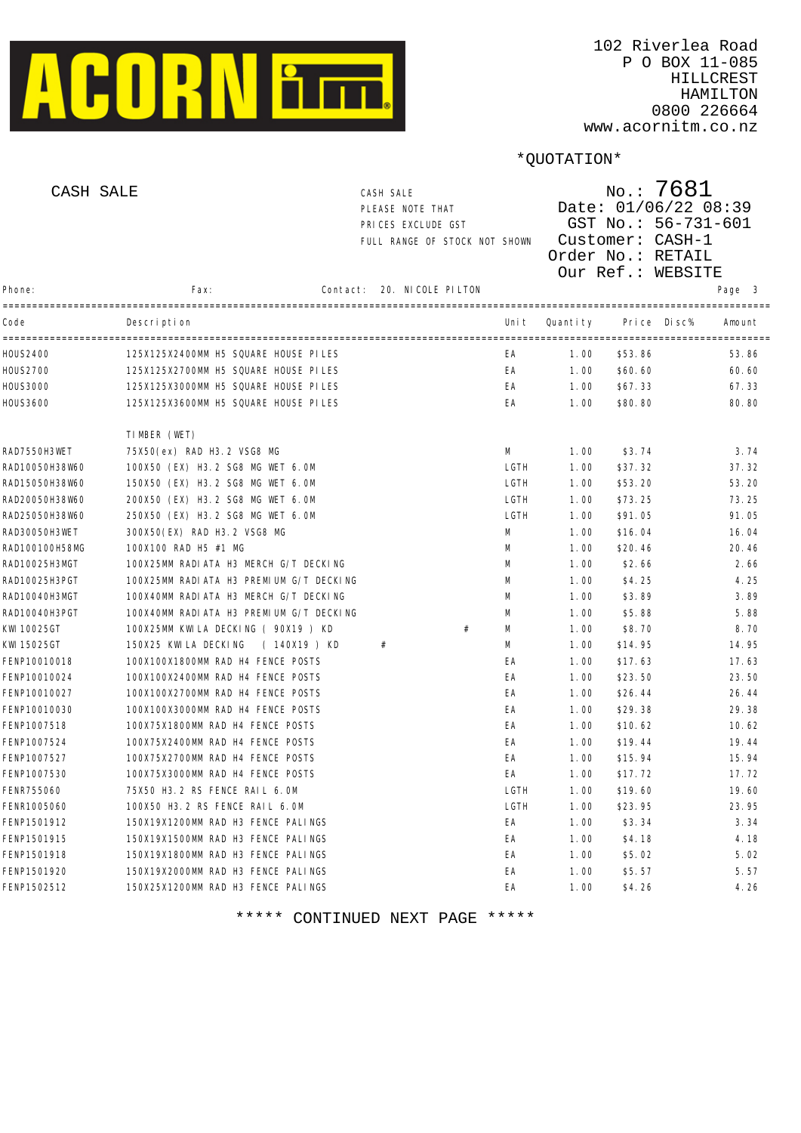

| CASH SALE      |                                         | CASH SALE<br>PLEASE NOTE THAT<br>PRICES EXCLUDE GST<br>FULL RANGE OF STOCK NOT SHOWN |                   |       | $N$ o.: 7681<br>Date: 01/06/22 08:39<br>GST No.: 56-731-601<br>Customer: CASH-1<br>Order No.: RETAIL<br>Our Ref.: WEBSITE |         |                  |  |  |
|----------------|-----------------------------------------|--------------------------------------------------------------------------------------|-------------------|-------|---------------------------------------------------------------------------------------------------------------------------|---------|------------------|--|--|
| Phone:         | Fax:                                    | Contact:                                                                             | 20. NICOLE PILTON |       |                                                                                                                           |         | Page 3           |  |  |
| Code           | Description                             |                                                                                      |                   | Uni t | Quantity                                                                                                                  | Pri ce  | Di sc%<br>Amount |  |  |
| HOUS2400       | 125X125X2400MM H5 SQUARE HOUSE PILES    |                                                                                      |                   | EA    | 1.00                                                                                                                      | \$53.86 | 53.86            |  |  |
| H0US2700       | 125X125X2700MM H5 SQUARE HOUSE PILES    |                                                                                      |                   | EA    | 1.00                                                                                                                      | \$60.60 | 60.60            |  |  |
| HOUS3000       | 125X125X3000MM H5 SQUARE HOUSE PILES    |                                                                                      |                   | EA    | 1.00                                                                                                                      | \$67.33 | 67.33            |  |  |
| HOUS3600       | 125X125X3600MM H5 SQUARE HOUSE PILES    |                                                                                      |                   | EA    | 1.00                                                                                                                      | \$80.80 | 80.80            |  |  |
|                | TIMBER (WET)                            |                                                                                      |                   |       |                                                                                                                           |         |                  |  |  |
| RAD7550H3WET   | 75X50(ex) RAD H3.2 VSG8 MG              |                                                                                      |                   | M     | 1.00                                                                                                                      | \$3.74  | 3.74             |  |  |
| RAD10050H38W60 | 100X50 (EX) H3.2 SG8 MG WET 6.0M        |                                                                                      |                   | LGTH  | 1.00                                                                                                                      | \$37.32 | 37.32            |  |  |
| RAD15050H38W60 | 150X50 (EX) H3.2 SG8 MG WET 6.0M        |                                                                                      |                   | LGTH  | 1.00                                                                                                                      | \$53.20 | 53.20            |  |  |
| RAD20050H38W60 | 200X50 (EX) H3.2 SG8 MG WET 6.0M        |                                                                                      |                   | LGTH  | 1.00                                                                                                                      | \$73.25 | 73.25            |  |  |
| RAD25050H38W60 | 250X50 (EX) H3.2 SG8 MG WET 6.0M        |                                                                                      |                   | LGTH  | 1.00                                                                                                                      | \$91.05 | 91.05            |  |  |
| RAD30050H3WET  | 300X50(EX) RAD H3.2 VSG8 MG             |                                                                                      |                   | M     | 1.00                                                                                                                      | \$16.04 | 16.04            |  |  |
| RAD100100H58MG | 100X100 RAD H5 #1 MG                    |                                                                                      |                   | M     | 1.00                                                                                                                      | \$20.46 | 20.46            |  |  |
| RAD10025H3MGT  | 100X25MM RADIATA H3 MERCH G/T DECKING   |                                                                                      |                   | M     | 1.00                                                                                                                      | \$2.66  | 2.66             |  |  |
| RAD10025H3PGT  | 100X25MM RADIATA H3 PREMIUM G/T DECKING |                                                                                      |                   | M     | 1.00                                                                                                                      | \$4.25  | 4.25             |  |  |
| RAD10040H3MGT  | 100X40MM RADIATA H3 MERCH G/T DECKING   |                                                                                      |                   | M     | 1.00                                                                                                                      | \$3.89  | 3.89             |  |  |
| RAD10040H3PGT  | 100X40MM RADIATA H3 PREMIUM G/T DECKING |                                                                                      |                   | M     | 1.00                                                                                                                      | \$5.88  | 5.88             |  |  |
| KWI 10025GT    | 100X25MM KWILA DECKING ( 90X19 ) KD     |                                                                                      | #                 | M     | 1.00                                                                                                                      | \$8.70  | 8.70             |  |  |
| KWI 15025GT    | 150X25 KWILA DECKING<br>(140X19) KD     |                                                                                      | #                 | М     | 1.00                                                                                                                      | \$14.95 | 14.95            |  |  |
| FENP10010018   | 100X100X1800MM RAD H4 FENCE POSTS       |                                                                                      |                   | EA    | 1.00                                                                                                                      | \$17.63 | 17.63            |  |  |
| FENP10010024   | 100X100X2400MM RAD H4 FENCE POSTS       |                                                                                      |                   | EA    | 1.00                                                                                                                      | \$23.50 | 23.50            |  |  |
| FENP10010027   | 100X100X2700MM RAD H4 FENCE POSTS       |                                                                                      |                   | EA    | 1.00                                                                                                                      | \$26.44 | 26.44            |  |  |
| FENP10010030   | 100X100X3000MM RAD H4 FENCE POSTS       |                                                                                      |                   | EA    | 1.00                                                                                                                      | \$29.38 | 29.38            |  |  |
| FENP1007518    | 100X75X1800MM RAD H4 FENCE POSTS        |                                                                                      |                   | EA    | 1.00                                                                                                                      | \$10.62 | 10.62            |  |  |
| FENP1007524    | 100X75X2400MM RAD H4 FENCE POSTS        |                                                                                      |                   | EA    | 1.00                                                                                                                      | \$19.44 | 19.44            |  |  |
| FENP1007527    | 100X75X2700MM RAD H4 FENCE POSTS        |                                                                                      |                   | EA    | 1.00                                                                                                                      | \$15.94 | 15.94            |  |  |
| FENP1007530    | 100X75X3000MM RAD H4 FENCE POSTS        |                                                                                      |                   | EA    | 1.00                                                                                                                      | \$17.72 | 17.72            |  |  |
| FENR755060     | 75X50 H3. 2 RS FENCE RAIL 6. OM         |                                                                                      |                   | LGTH  | 1.00                                                                                                                      | \$19.60 | 19.60            |  |  |
| FENR1005060    | 100X50 H3.2 RS FENCE RAIL 6.0M          |                                                                                      |                   | LGTH  | 1.00                                                                                                                      | \$23.95 | 23.95            |  |  |
| FENP1501912    | 150X19X1200MM RAD H3 FENCE PALINGS      |                                                                                      |                   | EA    | 1.00                                                                                                                      | \$3.34  | 3.34             |  |  |
| FENP1501915    | 150X19X1500MM RAD H3 FENCE PALINGS      |                                                                                      |                   | EA    | 1.00                                                                                                                      | \$4.18  | 4.18             |  |  |
| FENP1501918    | 150X19X1800MM RAD H3 FENCE PALINGS      |                                                                                      |                   | EA    | 1.00                                                                                                                      | \$5.02  | 5.02             |  |  |
| FENP1501920    | 150X19X2000MM RAD H3 FENCE PALINGS      |                                                                                      |                   | EA    | 1.00                                                                                                                      | \$5.57  | 5.57             |  |  |
| FENP1502512    | 150X25X1200MM RAD H3 FENCE PALINGS      |                                                                                      |                   | EA    | 1.00                                                                                                                      | \$4.26  | 4.26             |  |  |
|                |                                         |                                                                                      |                   |       |                                                                                                                           |         |                  |  |  |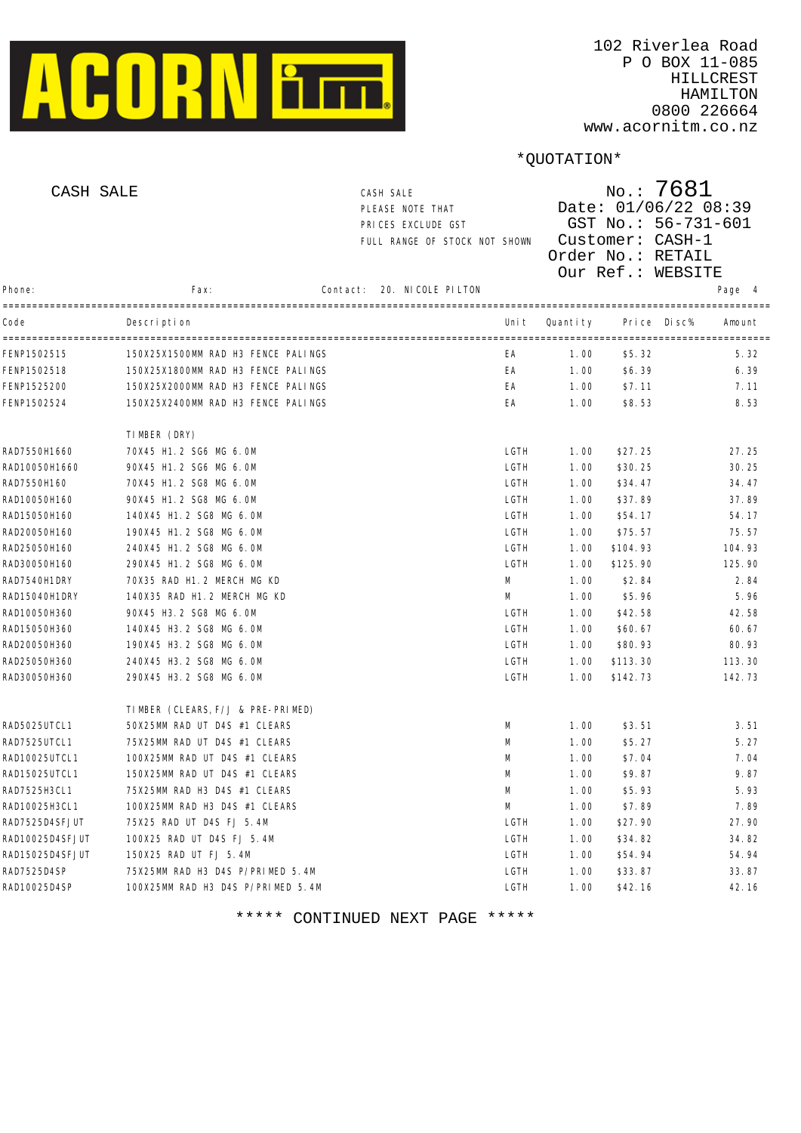

| CASH SALE       |                                    | CASH SALE<br>PLEASE NOTE THAT<br>PRICES EXCLUDE GST<br>FULL RANGE OF STOCK NOT SHOWN |                   |       | $N$ o.: 7681<br>Date: 01/06/22 08:39<br>GST No.: 56-731-601<br>Customer: CASH-1<br>Order No.: RETAIL<br>Our Ref.: WEBSITE |          |        |        |  |  |
|-----------------|------------------------------------|--------------------------------------------------------------------------------------|-------------------|-------|---------------------------------------------------------------------------------------------------------------------------|----------|--------|--------|--|--|
| Phone:          | Fax:                               | Contact:                                                                             | 20. NICOLE PILTON |       |                                                                                                                           |          |        | Page 4 |  |  |
| Code            | Description                        |                                                                                      |                   | Uni t | Quantity                                                                                                                  | Pri ce   | Di sc% | Amount |  |  |
| FENP1502515     | 150X25X1500MM RAD H3 FENCE PALINGS |                                                                                      |                   | ЕA    | 1.00                                                                                                                      | \$5.32   |        | 5.32   |  |  |
| FENP1502518     | 150X25X1800MM RAD H3 FENCE PALINGS |                                                                                      |                   | EA    | 1.00                                                                                                                      | \$6.39   |        | 6.39   |  |  |
| FENP1525200     | 150X25X2000MM RAD H3 FENCE PALINGS |                                                                                      |                   | EA    | 1.00                                                                                                                      | \$7.11   |        | 7.11   |  |  |
| FENP1502524     | 150X25X2400MM RAD H3 FENCE PALINGS |                                                                                      |                   | EA    | 1.00                                                                                                                      | \$8.53   |        | 8.53   |  |  |
|                 | TIMBER (DRY)                       |                                                                                      |                   |       |                                                                                                                           |          |        |        |  |  |
| RAD7550H1660    | 70X45 H1.2 SG6 MG 6.0M             |                                                                                      |                   | LGTH  | 1.00                                                                                                                      | \$27.25  |        | 27.25  |  |  |
| RAD10050H1660   | 90X45 H1.2 SG6 MG 6.0M             |                                                                                      |                   | LGTH  | 1.00                                                                                                                      | \$30.25  |        | 30.25  |  |  |
| RAD7550H160     | 70X45 H1.2 SG8 MG 6.0M             |                                                                                      |                   | LGTH  | 1.00                                                                                                                      | \$34.47  |        | 34.47  |  |  |
| RAD10050H160    | 90X45 H1.2 SG8 MG 6.0M             |                                                                                      |                   | LGTH  | 1.00                                                                                                                      | \$37.89  |        | 37.89  |  |  |
| RAD15050H160    | 140X45 H1.2 SG8 MG 6.0M            |                                                                                      |                   | LGTH  | 1.00                                                                                                                      | \$54.17  |        | 54.17  |  |  |
| RAD20050H160    | 190X45 H1.2 SG8 MG 6.0M            |                                                                                      |                   | LGTH  | 1.00                                                                                                                      | \$75.57  |        | 75.57  |  |  |
| RAD25050H160    | 240X45 H1.2 SG8 MG 6.0M            |                                                                                      |                   | LGTH  | 1.00                                                                                                                      | \$104.93 |        | 104.93 |  |  |
| RAD30050H160    | 290X45 H1.2 SG8 MG 6.0M            |                                                                                      |                   | LGTH  | 1.00                                                                                                                      | \$125.90 |        | 125.90 |  |  |
| RAD7540H1DRY    | 70X35 RAD H1.2 MERCH MG KD         |                                                                                      |                   | М     | 1.00                                                                                                                      | \$2.84   |        | 2.84   |  |  |
| RAD15040H1DRY   | 140X35 RAD H1.2 MERCH MG KD        |                                                                                      |                   | М     | 1.00                                                                                                                      | \$5.96   |        | 5.96   |  |  |
| RAD10050H360    | 90X45 H3.2 SG8 MG 6.0M             |                                                                                      |                   | LGTH  | 1.00                                                                                                                      | \$42.58  |        | 42.58  |  |  |
| RAD15050H360    | 140X45 H3.2 SG8 MG 6.0M            |                                                                                      |                   | LGTH  | 1.00                                                                                                                      | \$60.67  |        | 60.67  |  |  |
| RAD20050H360    | 190X45 H3.2 SG8 MG 6.0M            |                                                                                      |                   | LGTH  | 1.00                                                                                                                      | \$80.93  |        | 80.93  |  |  |
| RAD25050H360    | 240X45 H3.2 SG8 MG 6.0M            |                                                                                      |                   | LGTH  | 1.00                                                                                                                      | \$113.30 |        | 113.30 |  |  |
| RAD30050H360    | 290X45 H3.2 SG8 MG 6.0M            |                                                                                      |                   | LGTH  | 1.00                                                                                                                      | \$142.73 |        | 142.73 |  |  |
|                 | TIMBER (CLEARS, F/J & PRE-PRIMED)  |                                                                                      |                   |       |                                                                                                                           |          |        |        |  |  |
| RAD5025UTCL1    | 50X25MM RAD UT D4S #1 CLEARS       |                                                                                      |                   | M     | 1.00                                                                                                                      | \$3.51   |        | 3.51   |  |  |
| RAD7525UTCL1    | 75X25MM RAD UT D4S #1 CLEARS       |                                                                                      |                   | M     | 1.00                                                                                                                      | \$5.27   |        | 5.27   |  |  |
| RAD10025UTCL1   | 100X25MM RAD UT D4S #1 CLEARS      |                                                                                      |                   | M     | 1.00                                                                                                                      | \$7.04   |        | 7.04   |  |  |
| RAD15025UTCL1   | 150X25MM RAD UT D4S #1 CLEARS      |                                                                                      |                   | M     | 1.00                                                                                                                      | \$9.87   |        | 9.87   |  |  |
| RAD7525H3CL1    | 75X25MM RAD H3 D4S #1 CLEARS       |                                                                                      |                   | M     | 1.00                                                                                                                      | \$5.93   |        | 5.93   |  |  |
| RAD10025H3CL1   | 100X25MM RAD H3 D4S #1 CLEARS      |                                                                                      |                   | М     | 1.00                                                                                                                      | \$7.89   |        | 7.89   |  |  |
| RAD7525D4SFJUT  | 75X25 RAD UT D4S FJ 5.4M           |                                                                                      |                   | LGTH  | 1.00                                                                                                                      | \$27.90  |        | 27.90  |  |  |
| RAD10025D4SFJUT | 100X25 RAD UT D4S FJ 5.4M          |                                                                                      |                   | LGTH  | 1.00                                                                                                                      | \$34.82  |        | 34.82  |  |  |
| RAD15025D4SFJUT | 150X25 RAD UT FJ 5.4M              |                                                                                      |                   | LGTH  | 1.00                                                                                                                      | \$54.94  |        | 54.94  |  |  |
| RAD7525D4SP     | 75X25MM RAD H3 D4S P/PRIMED 5.4M   |                                                                                      |                   | LGTH  | 1.00                                                                                                                      | \$33.87  |        | 33.87  |  |  |
| RAD10025D4SP    | 100X25MM RAD H3 D4S P/PRIMED 5.4M  |                                                                                      |                   | LGTH  | 1.00                                                                                                                      | \$42.16  |        | 42.16  |  |  |
|                 |                                    |                                                                                      |                   |       |                                                                                                                           |          |        |        |  |  |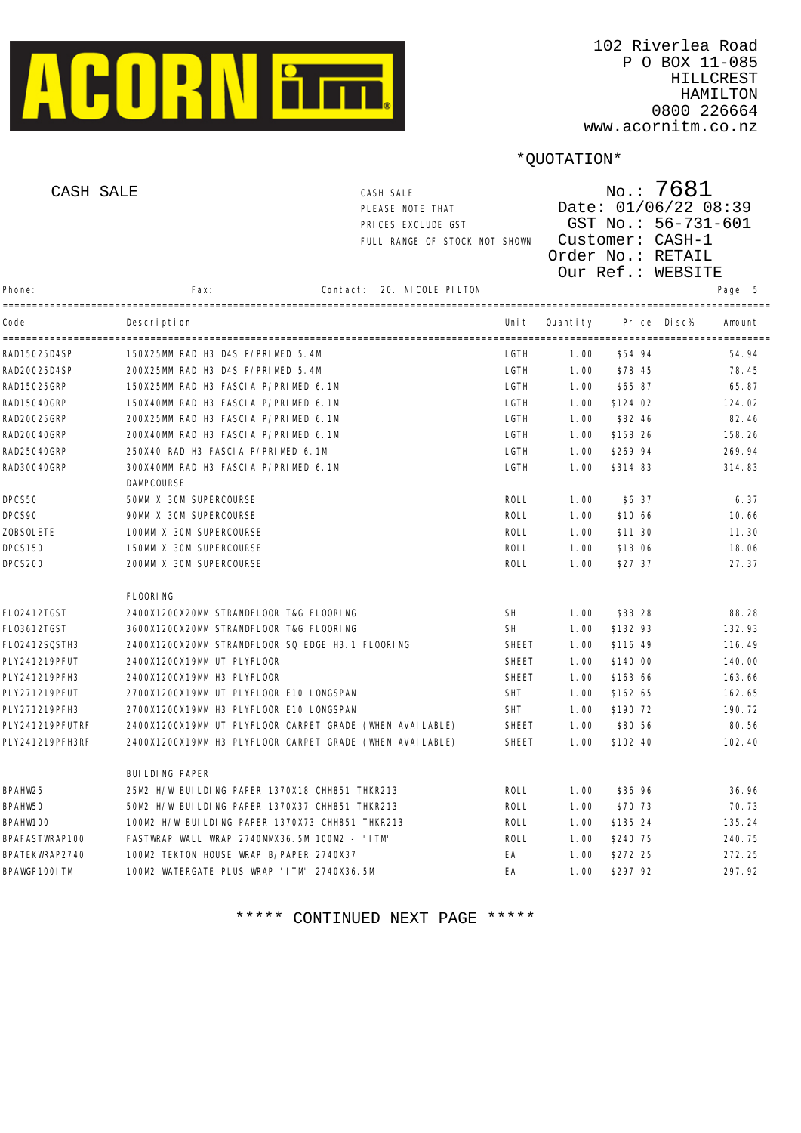

www.acornitm.co.nz

## \*QUOTATION\*

|                  | CASH SALE                                                | CASH SALE<br>PLEASE NOTE THAT<br>PRICES EXCLUDE GST<br>FULL RANGE OF STOCK NOT SHOWN |              | $N$ o.: 7681<br>Date: 01/06/22 08:39<br>GST No.: 56-731-601<br>Customer: CASH-1<br>Order No.: RETAIL<br>Our Ref.: WEBSITE |                  |        |  |
|------------------|----------------------------------------------------------|--------------------------------------------------------------------------------------|--------------|---------------------------------------------------------------------------------------------------------------------------|------------------|--------|--|
| Phone:           | Fax:                                                     | 20. NI COLE PI LTON<br>Contact:                                                      |              |                                                                                                                           |                  | Page 5 |  |
| Code             | Description                                              |                                                                                      | Uni t        | Quanti ty                                                                                                                 | Pri ce<br>Di sc% | Amount |  |
| RAD15025D4SP     | 150X25MM RAD H3 D4S P/PRIMED 5.4M                        |                                                                                      | LGTH         | 1.00                                                                                                                      | \$54.94          | 54.94  |  |
| RAD20025D4SP     | 200X25MM RAD H3 D4S P/PRIMED 5.4M                        |                                                                                      | LGTH         | 1.00                                                                                                                      | \$78.45          | 78.45  |  |
| RAD15025GRP      | 150X25MM RAD H3 FASCIA P/PRIMED 6.1M                     |                                                                                      | LGTH         | 1.00                                                                                                                      | \$65.87          | 65.87  |  |
| RAD15040GRP      | 150X40MM RAD H3 FASCIA P/PRIMED 6.1M                     |                                                                                      | LGTH         | 1.00                                                                                                                      | \$124.02         | 124.02 |  |
| RAD20025GRP      | 200X25MM RAD H3 FASCIA P/PRIMED 6.1M                     |                                                                                      | LGTH         | 1.00                                                                                                                      | \$82.46          | 82.46  |  |
| RAD20040GRP      | 200X40MM RAD H3 FASCIA P/PRIMED 6.1M                     |                                                                                      | LGTH         | 1.00                                                                                                                      | \$158.26         | 158.26 |  |
| RAD25040GRP      | 250X40 RAD H3 FASCIA P/PRIMED 6.1M                       |                                                                                      | LGTH         | 1.00                                                                                                                      | \$269.94         | 269.94 |  |
| RAD30040GRP      | 300X40MM RAD H3 FASCIA P/PRIMED 6.1M<br>DAMPCOURSE       |                                                                                      | LGTH         | 1.00                                                                                                                      | \$314.83         | 314.83 |  |
| DPCS50           | 50MM X 30M SUPERCOURSE                                   |                                                                                      | ROLL         | 1.00                                                                                                                      | \$6.37           | 6.37   |  |
| DPCS90           | 90MM X 30M SUPERCOURSE                                   |                                                                                      | ROLL         | 1.00                                                                                                                      | \$10.66          | 10.66  |  |
| <b>ZOBSOLETE</b> | 100MM X 30M SUPERCOURSE                                  |                                                                                      | ROLL         | 1.00                                                                                                                      | \$11.30          | 11.30  |  |
| <b>DPCS150</b>   | 150MM X 30M SUPERCOURSE                                  |                                                                                      | ROLL         | 1.00                                                                                                                      | \$18.06          | 18.06  |  |
| DPCS200          | 200MM X 30M SUPERCOURSE                                  |                                                                                      | ROLL         | 1.00                                                                                                                      | \$27.37          | 27.37  |  |
|                  | <b>FLOORING</b>                                          |                                                                                      |              |                                                                                                                           |                  |        |  |
| FL02412TGST      | 2400X1200X20MM STRANDFLOOR T&G FLOORING                  |                                                                                      | <b>SH</b>    | 1.00                                                                                                                      | \$88.28          | 88.28  |  |
| FL03612TGST      | 3600X1200X20MM STRANDFLOOR T&G FLOORING                  |                                                                                      | <b>SH</b>    | 1.00                                                                                                                      | \$132.93         | 132.93 |  |
| FL02412SQSTH3    | 2400X1200X20MM STRANDFLOOR SQ EDGE H3.1 FLOORING         |                                                                                      | <b>SHEET</b> | 1.00                                                                                                                      | \$116.49         | 116.49 |  |
| PLY241219PFUT    | 2400X1200X19MM UT PLYFL00R                               |                                                                                      | <b>SHEET</b> | 1.00                                                                                                                      | \$140.00         | 140.00 |  |
| PLY241219PFH3    | 2400X1200X19MM H3 PLYFL00R                               |                                                                                      | <b>SHEET</b> | 1.00                                                                                                                      | \$163.66         | 163.66 |  |
| PLY271219PFUT    | 2700X1200X19MM UT PLYFLOOR E10 LONGSPAN                  |                                                                                      | <b>SHT</b>   | 1.00                                                                                                                      | \$162.65         | 162.65 |  |
| PLY271219PFH3    | 2700X1200X19MM H3 PLYFL00R E10 LONGSPAN                  |                                                                                      | <b>SHT</b>   | 1.00                                                                                                                      | \$190.72         | 190.72 |  |
| PLY241219PFUTRF  | 2400X1200X19MM UT PLYFLOOR CARPET GRADE (WHEN AVAILABLE) |                                                                                      | <b>SHEET</b> | 1.00                                                                                                                      | \$80.56          | 80.56  |  |
| PLY241219PFH3RF  | 2400X1200X19MM H3 PLYFLOOR CARPET GRADE (WHEN AVAILABLE) |                                                                                      | <b>SHEET</b> | 1.00                                                                                                                      | \$102.40         | 102.40 |  |
|                  | BUI LDI NG PAPER                                         |                                                                                      |              |                                                                                                                           |                  |        |  |
| BPAHW25          | 25M2 H/W BUILDING PAPER 1370X18 CHH851 THKR213           |                                                                                      | ROLL         | 1.00                                                                                                                      | \$36.96          | 36.96  |  |
| BPAHW50          | 50M2 H/W BUILDING PAPER 1370X37 CHH851 THKR213           |                                                                                      | ROLL         | 1.00                                                                                                                      | \$70.73          | 70.73  |  |
| BPAHW100         | 100M2 H/W BUILDING PAPER 1370X73 CHH851 THKR213          |                                                                                      | ROLL         | 1.00                                                                                                                      | \$135.24         | 135.24 |  |
| BPAFASTWRAP100   | FASTWRAP WALL WRAP 2740MMX36.5M 100M2 - 'ITM'            |                                                                                      | ROLL         | 1.00                                                                                                                      | \$240.75         | 240.75 |  |
| BPATEKWRAP2740   | 100M2 TEKTON HOUSE WRAP B/PAPER 2740X37                  |                                                                                      | EA           | 1.00                                                                                                                      | \$272.25         | 272.25 |  |
| BPAWGP100I TM    | 100M2 WATERGATE PLUS WRAP 'ITM' 2740X36.5M               |                                                                                      | EA           | 1.00                                                                                                                      | \$297.92         | 297.92 |  |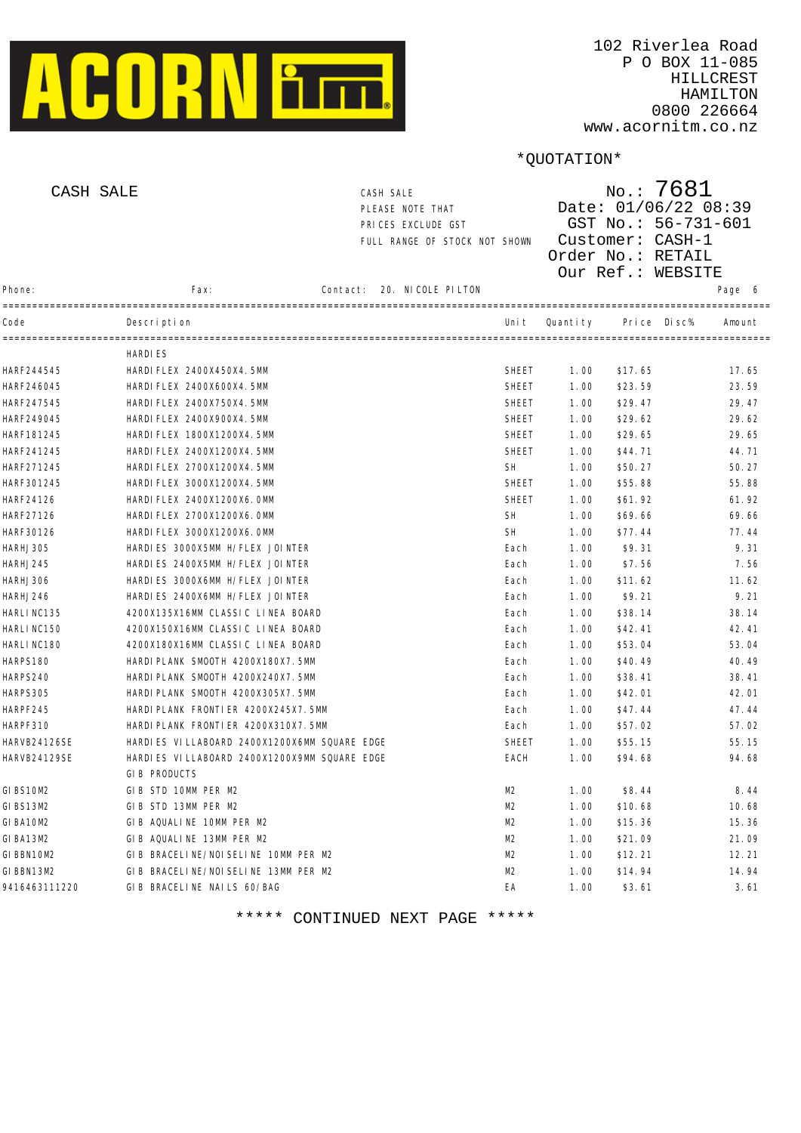

|               | CASH SALE                                    | CASH SALE<br>PLEASE NOTE THAT<br>PRICES EXCLUDE GST<br>FULL RANGE OF STOCK NOT SHOWN |              |          | $N$ o.: 7681<br>Date: 01/06/22 08:39<br>GST No.: 56-731-601<br>Customer: CASH-1<br>Order No.: RETAIL<br>Our Ref.: WEBSITE |        |
|---------------|----------------------------------------------|--------------------------------------------------------------------------------------|--------------|----------|---------------------------------------------------------------------------------------------------------------------------|--------|
| Phone:        | Fax:                                         | 20. NICOLE PILTON<br>Contact:                                                        |              |          |                                                                                                                           | Page 6 |
| Code          | Descri pti on                                |                                                                                      | Uni t        | Quantity | Di sc%<br>Pri ce                                                                                                          | Amount |
|               | -------------<br><b>HARDIES</b>              |                                                                                      |              |          |                                                                                                                           |        |
| HARF244545    | HARDI FLEX 2400X450X4.5MM                    |                                                                                      | <b>SHEET</b> | 1.00     | \$17.65                                                                                                                   | 17.65  |
| HARF246045    | HARDI FLEX 2400X600X4. 5MM                   |                                                                                      | <b>SHEET</b> | 1.00     | \$23.59                                                                                                                   | 23.59  |
| HARF247545    | HARDI FLEX 2400X750X4.5MM                    |                                                                                      | <b>SHEET</b> | 1.00     | \$29.47                                                                                                                   | 29.47  |
| HARF249045    | HARDI FLEX 2400X900X4. 5MM                   |                                                                                      | <b>SHEET</b> | 1.00     | \$29.62                                                                                                                   | 29.62  |
| HARF181245    | HARDI FLEX 1800X1200X4.5MM                   |                                                                                      | <b>SHEET</b> | 1.00     | \$29.65                                                                                                                   | 29.65  |
| HARF241245    | HARDI FLEX 2400X1200X4.5MM                   |                                                                                      | <b>SHEET</b> | 1.00     | \$44.71                                                                                                                   | 44.71  |
| HARF271245    | HARDI FLEX 2700X1200X4.5MM                   |                                                                                      | <b>SH</b>    | 1.00     | \$50.27                                                                                                                   | 50.27  |
| HARF301245    | HARDI FLEX 3000X1200X4.5MM                   |                                                                                      | <b>SHEET</b> | 1.00     | \$55.88                                                                                                                   | 55.88  |
| HARF24126     | HARDI FLEX 2400X1200X6. OMM                  |                                                                                      | <b>SHEET</b> | 1.00     | \$61.92                                                                                                                   | 61.92  |
| HARF27126     | HARDI FLEX 2700X1200X6. OMM                  |                                                                                      | <b>SH</b>    | 1.00     | \$69.66                                                                                                                   | 69.66  |
| HARF30126     | HARDI FLEX 3000X1200X6. OMM                  |                                                                                      | <b>SH</b>    | 1.00     | \$77.44                                                                                                                   | 77.44  |
| HARHJ305      | HARDIES 3000X5MM H/FLEX JOINTER              |                                                                                      | Each         | 1.00     | \$9.31                                                                                                                    | 9.31   |
| HARHJ245      | HARDIES 2400X5MM H/FLEX JOINTER              |                                                                                      | Each         | 1.00     | \$7.56                                                                                                                    | 7.56   |
| HARHJ306      | HARDIES 3000X6MM H/FLEX JOINTER              |                                                                                      | Each         | 1.00     | \$11.62                                                                                                                   | 11.62  |
| HARHJ246      | HARDIES 2400X6MM H/FLEX JOINTER              |                                                                                      | Each         | 1.00     | \$9.21                                                                                                                    | 9.21   |
| HARLI NC135   | 4200X135X16MM CLASSIC LINEA BOARD            |                                                                                      | Each         | 1.00     | \$38.14                                                                                                                   | 38.14  |
| HARLI NC150   | 4200X150X16MM CLASSIC LINEA BOARD            |                                                                                      | Each         | 1.00     | \$42.41                                                                                                                   | 42.41  |
| HARLI NC180   | 4200X180X16MM CLASSIC LINEA BOARD            |                                                                                      | Each         | 1.00     | \$53.04                                                                                                                   | 53.04  |
| HARPS180      | HARDI PLANK SMOOTH 4200X180X7. 5MM           |                                                                                      | Each         | 1.00     | \$40.49                                                                                                                   | 40.49  |
| HARPS240      | HARDI PLANK SMOOTH 4200X240X7.5MM            |                                                                                      | Each         | 1.00     | \$38.41                                                                                                                   | 38.41  |
| HARPS305      | HARDI PLANK SMOOTH 4200X305X7.5MM            |                                                                                      | Each         | 1.00     | \$42.01                                                                                                                   | 42.01  |
| HARPF245      | HARDI PLANK FRONTI ER 4200X245X7. 5MM        |                                                                                      | Each         | 1.00     | \$47.44                                                                                                                   | 47.44  |
| HARPF310      | HARDI PLANK FRONTI ER 4200X310X7. 5MM        |                                                                                      | Each         | 1.00     | \$57.02                                                                                                                   | 57.02  |
| HARVB24126SE  | HARDIES VILLABOARD 2400X1200X6MM SQUARE EDGE |                                                                                      | <b>SHEET</b> | 1.00     | \$55.15                                                                                                                   | 55.15  |
| HARVB24129SE  | HARDIES VILLABOARD 2400X1200X9MM SQUARE EDGE |                                                                                      | EACH         | 1.00     | \$94.68                                                                                                                   | 94.68  |
|               | GIB PRODUCTS                                 |                                                                                      |              |          |                                                                                                                           |        |
| GIBS10M2      | GIB STD 10MM PER M2                          |                                                                                      | M2           | 1.00     | \$8.44                                                                                                                    | 8.44   |
| GIBS13M2      | GIB STD 13MM PER M2                          |                                                                                      | M2           | 1.00     | \$10.68                                                                                                                   | 10.68  |
| GI BA10M2     | GIB AQUALINE 10MM PER M2                     |                                                                                      | M2           | 1.00     | \$15.36                                                                                                                   | 15.36  |
| GI BA13M2     | GIB AQUALINE 13MM PER M2                     |                                                                                      | M2           | 1.00     | \$21.09                                                                                                                   | 21.09  |
| GIBBN10M2     | GIB BRACELINE/NOISELINE 10MM PER M2          |                                                                                      | M2           | 1.00     | \$12.21                                                                                                                   | 12.21  |
| GIBBN13M2     | GIB BRACELINE/NOISELINE 13MM PER M2          |                                                                                      | M2           | 1.00     | \$14.94                                                                                                                   | 14.94  |
| 9416463111220 | GIB BRACELINE NAILS 60/BAG                   |                                                                                      | EA           | 1.00     | \$3.61                                                                                                                    | 3.61   |
|               |                                              |                                                                                      |              |          |                                                                                                                           |        |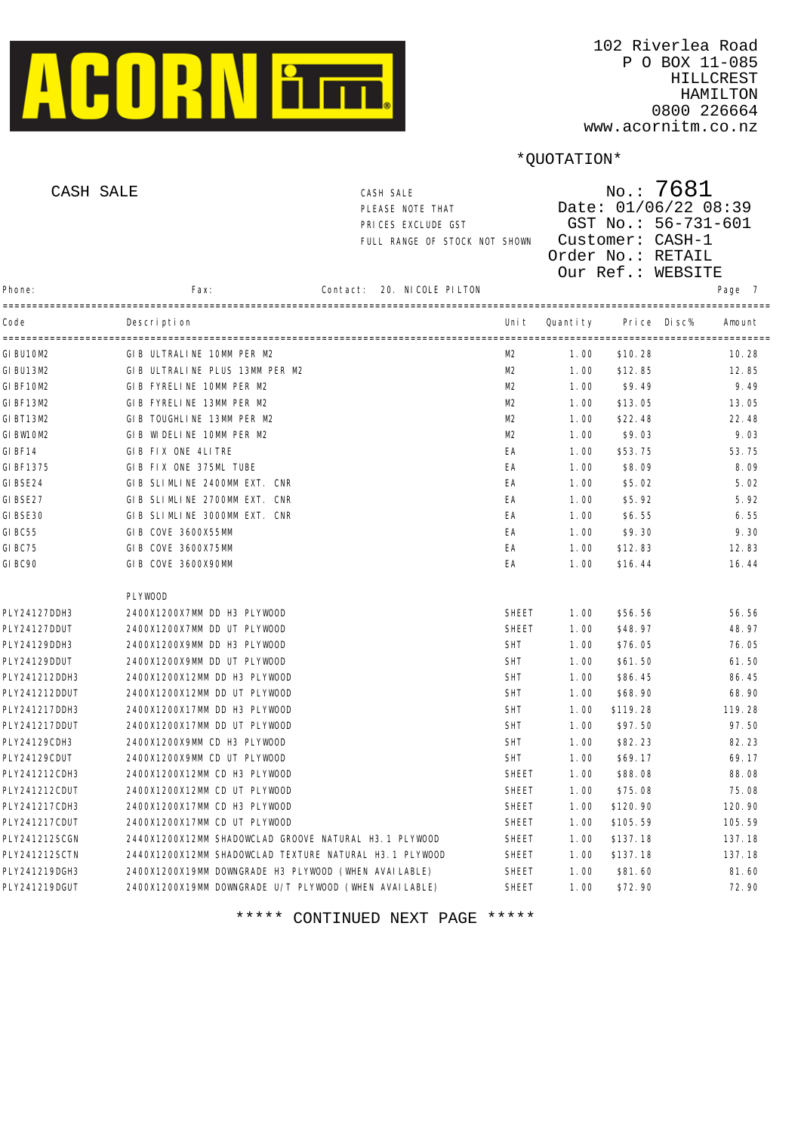

| CASH SALE     |                                                        | CASH SALE<br>PLEASE NOTE THAT<br>PRICES EXCLUDE GST<br>FULL RANGE OF STOCK NOT SHOWN |                |          | $N$ o.: 7681<br>Date: 01/06/22 08:39<br>GST No.: 56-731-601<br>Customer: CASH-1<br>Order No.: RETAIL<br>Our Ref.: WEBSITE |        |
|---------------|--------------------------------------------------------|--------------------------------------------------------------------------------------|----------------|----------|---------------------------------------------------------------------------------------------------------------------------|--------|
| Phone:        | Fax:                                                   | 20. NICOLE PILTON<br>Contact:                                                        |                |          |                                                                                                                           | Page 7 |
| Code          | Description                                            |                                                                                      | Uni t          | Quantity | Pri ce<br>Di sc%                                                                                                          | Amount |
| GI BU10M2     | GIB ULTRALINE 10MM PER M2                              |                                                                                      | M <sub>2</sub> | 1.00     | \$10.28                                                                                                                   | 10.28  |
| GI BU13M2     | GIB ULTRALINE PLUS 13MM PER M2                         |                                                                                      | M2             | 1.00     | \$12.85                                                                                                                   | 12.85  |
| GIBF10M2      | GIB FYRELINE 10MM PER M2                               |                                                                                      | M2             | 1.00     | \$9.49                                                                                                                    | 9.49   |
| GI BF13M2     | GIB FYRELINE 13MM PER M2                               |                                                                                      | M2             | 1.00     | \$13.05                                                                                                                   | 13.05  |
| GI BT13M2     | GIB TOUGHLINE 13MM PER M2                              |                                                                                      | M <sub>2</sub> | 1.00     | \$22.48                                                                                                                   | 22.48  |
| GIBW10M2      | GIB WIDELINE 10MM PER M2                               |                                                                                      | M <sub>2</sub> | 1.00     | \$9.03                                                                                                                    | 9.03   |
| GI BF14       | GIB FIX ONE 4LITRE                                     |                                                                                      | EA             | 1.00     | \$53.75                                                                                                                   | 53.75  |
| GI BF1375     | GIB FIX ONE 375ML TUBE                                 |                                                                                      | EA             | 1.00     | \$8.09                                                                                                                    | 8.09   |
| GI BSE24      | GIB SLIMLINE 2400MM EXT. CNR                           |                                                                                      | EA             | 1.00     | \$5.02                                                                                                                    | 5.02   |
| GI BSE27      | GIB SLIMLINE 2700MM EXT. CNR                           |                                                                                      | EA             | 1.00     | \$5.92                                                                                                                    | 5.92   |
| GI BSE30      | GIB SLIMLINE 3000MM EXT. CNR                           |                                                                                      | ЕA             | 1.00     | \$6.55                                                                                                                    | 6.55   |
| GI BC55       | GIB COVE 3600X55MM                                     |                                                                                      | ЕA             | 1.00     | \$9.30                                                                                                                    | 9.30   |
| GI BC75       | GIB COVE 3600X75MM                                     |                                                                                      | ЕA             | 1.00     | \$12.83                                                                                                                   | 12.83  |
| GI BC90       | GIB COVE 3600X90MM                                     |                                                                                      | EA             | 1.00     | \$16.44                                                                                                                   | 16.44  |
|               | <b>PLYWOOD</b>                                         |                                                                                      |                |          |                                                                                                                           |        |
| PLY24127DDH3  | 2400X1200X7MM DD H3 PLYWOOD                            |                                                                                      | <b>SHEET</b>   | 1.00     | \$56.56                                                                                                                   | 56.56  |
| PLY24127DDUT  | 2400X1200X7MM DD UT PLYWOOD                            |                                                                                      | <b>SHEET</b>   | 1.00     | \$48.97                                                                                                                   | 48.97  |
| PLY24129DDH3  | 2400X1200X9MM DD H3 PLYWOOD                            |                                                                                      | <b>SHT</b>     | 1.00     | \$76.05                                                                                                                   | 76.05  |
| PLY24129DDUT  | 2400X1200X9MM DD UT PLYWOOD                            |                                                                                      | <b>SHT</b>     | 1.00     | \$61.50                                                                                                                   | 61.50  |
| PLY241212DDH3 | 2400X1200X12MM DD H3 PLYWOOD                           |                                                                                      | <b>SHT</b>     | 1.00     | \$86.45                                                                                                                   | 86.45  |
| PLY241212DDUT | 2400X1200X12MM DD UT PLYWOOD                           |                                                                                      | <b>SHT</b>     | 1.00     | \$68.90                                                                                                                   | 68.90  |
| PLY241217DDH3 | 2400X1200X17MM DD H3 PLYWOOD                           |                                                                                      | <b>SHT</b>     | 1.00     | \$119.28                                                                                                                  | 119.28 |
| PLY241217DDUT | 2400X1200X17MM DD UT PLYWOOD                           |                                                                                      | <b>SHT</b>     | 1.00     | \$97.50                                                                                                                   | 97.50  |
| PLY24129CDH3  | 2400X1200X9MM CD H3 PLYWOOD                            |                                                                                      | <b>SHT</b>     | 1.00     | \$82.23                                                                                                                   | 82.23  |
| PLY24129CDUT  | 2400X1200X9MM CD UT PLYWOOD                            |                                                                                      | <b>SHT</b>     | 1.00     | \$69.17                                                                                                                   | 69.17  |
| PLY241212CDH3 | 2400X1200X12MM CD H3 PLYWOOD                           |                                                                                      | <b>SHEET</b>   | 1.00     | \$88.08                                                                                                                   | 88.08  |
| PLY241212CDUT | 2400X1200X12MM CD UT PLYWOOD                           |                                                                                      | SHEET          | 1.00     | \$75.08                                                                                                                   | 75.08  |
| PLY241217CDH3 | 2400X1200X17MM CD H3 PLYWOOD                           |                                                                                      | SHEET          | 1.00     | \$120.90                                                                                                                  | 120.90 |
| PLY241217CDUT | 2400X1200X17MM CD UT PLYWOOD                           |                                                                                      | <b>SHEET</b>   | 1.00     | \$105.59                                                                                                                  | 105.59 |
| PLY241212SCGN | 2440X1200X12MM SHADOWCLAD GROOVE NATURAL H3.1 PLYWOOD  |                                                                                      | <b>SHEET</b>   | 1.00     | \$137.18                                                                                                                  | 137.18 |
| PLY241212SCTN | 2440X1200X12MM SHADOWCLAD TEXTURE NATURAL H3.1 PLYWOOD |                                                                                      | <b>SHEET</b>   | 1.00     | \$137.18                                                                                                                  | 137.18 |
| PLY241219DGH3 | 2400X1200X19MM DOWNGRADE H3 PLYWOOD (WHEN AVAILABLE)   |                                                                                      | SHEET          | 1.00     | \$81.60                                                                                                                   | 81.60  |
| PLY241219DGUT | 2400X1200X19MM DOWNGRADE U/T PLYWOOD (WHEN AVAILABLE)  |                                                                                      | <b>SHEET</b>   | 1.00     | \$72.90                                                                                                                   | 72.90  |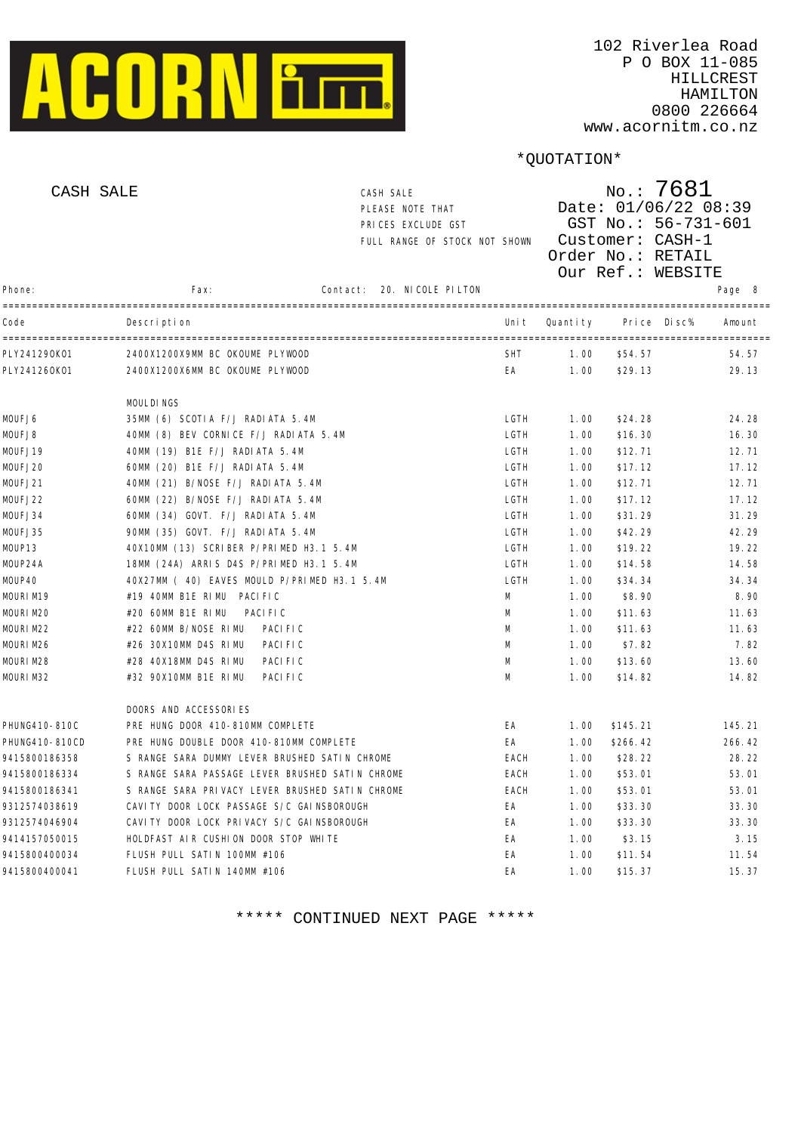

| CASH SALE      |                                                 | CASH SALE<br>PLEASE NOTE THAT<br>PRICES EXCLUDE GST<br>FULL RANGE OF STOCK NOT SHOWN |            | No.: 7681<br>Date: 01/06/22 08:39<br>GST No.: 56-731-601<br>Customer: CASH-1<br>Order No.: RETAIL<br>Our Ref.: WEBSITE |             |        |  |
|----------------|-------------------------------------------------|--------------------------------------------------------------------------------------|------------|------------------------------------------------------------------------------------------------------------------------|-------------|--------|--|
| Phone:         | Fax:                                            | 20. NI COLE PI LTON<br>Contact:                                                      |            |                                                                                                                        |             | Page 8 |  |
| Code           | Description                                     |                                                                                      | Uni t      | Quantity                                                                                                               | Price Disc% | Amount |  |
| PLY241290K01   | 2400X1200X9MM BC OKOUME PLYWOOD                 |                                                                                      | <b>SHT</b> | 1.00                                                                                                                   | \$54.57     | 54.57  |  |
| PLY241260K01   | 2400X1200X6MM BC OKOUME PLYWOOD                 |                                                                                      | EA         | 1.00                                                                                                                   | \$29.13     | 29.13  |  |
|                | MOULDINGS                                       |                                                                                      |            |                                                                                                                        |             |        |  |
| MOUFJ6         | 35MM (6) SCOTIA F/J RADIATA 5.4M                |                                                                                      | LGTH       | 1.00                                                                                                                   | \$24.28     | 24.28  |  |
| MOUFJ8         | 40MM (8) BEV CORNICE F/J RADIATA 5.4M           |                                                                                      | LGTH       | 1.00                                                                                                                   | \$16.30     | 16.30  |  |
| MOUFJ19        | 40MM (19) B1E F/J RADI ATA 5.4M                 |                                                                                      | LGTH       | 1.00                                                                                                                   | \$12.71     | 12.71  |  |
| MOUFJ20        | 60MM (20) B1E F/J RADI ATA 5.4M                 |                                                                                      | LGTH       | 1.00                                                                                                                   | \$17.12     | 17.12  |  |
| MOUFJ21        | 40MM (21) B/NOSE F/J RADIATA 5.4M               |                                                                                      | LGTH       | 1.00                                                                                                                   | \$12.71     | 12.71  |  |
| MOUFJ22        | 60MM (22) B/NOSE F/J RADI ATA 5.4M              |                                                                                      | LGTH       | 1.00                                                                                                                   | \$17.12     | 17.12  |  |
| MOUFJ34        | 60MM (34) GOVT. F/J RADIATA 5.4M                |                                                                                      | LGTH       | 1.00                                                                                                                   | \$31.29     | 31.29  |  |
| MOUFJ35        | 90MM (35) GOVT. F/J RADIATA 5.4M                |                                                                                      | LGTH       | 1.00                                                                                                                   | \$42.29     | 42.29  |  |
| MOUP13         | 40X10MM (13) SCRIBER P/PRIMED H3.1 5.4M         |                                                                                      | LGTH       | 1.00                                                                                                                   | \$19.22     | 19.22  |  |
| MOUP24A        | 18MM (24A) ARRIS D4S P/PRIMED H3.1 5.4M         |                                                                                      | LGTH       | 1.00                                                                                                                   | \$14.58     | 14.58  |  |
| MOUP40         | 40X27MM ( 40) EAVES MOULD P/PRIMED H3.1 5.4M    |                                                                                      | LGTH       | 1.00                                                                                                                   | \$34.34     | 34.34  |  |
| MOURIM19       | #19 40MM B1E RIMU PACIFIC                       |                                                                                      | M          | 1.00                                                                                                                   | \$8.90      | 8.90   |  |
| MOURI M20      | #20 60MM B1E RIMU<br>PACI FI C                  |                                                                                      | M          | 1.00                                                                                                                   | \$11.63     | 11.63  |  |
| MOURIM22       | #22 60MM B/NOSE RIMU<br>PACI FI C               |                                                                                      | M          | 1.00                                                                                                                   | \$11.63     | 11.63  |  |
| MOURIM26       | #26 30X10MM D4S RIMU<br>PACI FI C               |                                                                                      | M          | 1.00                                                                                                                   | \$7.82      | 7.82   |  |
| MOURIM28       | #28 40X18MM D4S RIMU<br>PACI FI C               |                                                                                      | M          | 1.00                                                                                                                   | \$13.60     | 13.60  |  |
| MOURIM32       | #32 90X10MM B1E RIMU<br>PACI FI C               |                                                                                      | M          | 1.00                                                                                                                   | \$14.82     | 14.82  |  |
|                | DOORS AND ACCESSORIES                           |                                                                                      |            |                                                                                                                        |             |        |  |
| PHUNG410-810C  | PRE HUNG DOOR 410-810MM COMPLETE                |                                                                                      | EA         | 1.00                                                                                                                   | \$145.21    | 145.21 |  |
| PHUNG410-810CD | PRE HUNG DOUBLE DOOR 410-810MM COMPLETE         |                                                                                      | EA         | 1.00                                                                                                                   | \$266.42    | 266.42 |  |
| 9415800186358  | S RANGE SARA DUMMY LEVER BRUSHED SATIN CHROME   |                                                                                      | EACH       | 1.00                                                                                                                   | \$28.22     | 28.22  |  |
| 9415800186334  | S RANGE SARA PASSAGE LEVER BRUSHED SATIN CHROME |                                                                                      | EACH       | 1.00                                                                                                                   | \$53.01     | 53.01  |  |
| 9415800186341  | S RANGE SARA PRIVACY LEVER BRUSHED SATIN CHROME |                                                                                      | EACH       | 1.00                                                                                                                   | \$53.01     | 53.01  |  |
| 9312574038619  | CAVITY DOOR LOCK PASSAGE S/C GAINSBOROUGH       |                                                                                      | EA         | 1.00                                                                                                                   | \$33.30     | 33.30  |  |
| 9312574046904  | CAVI TY DOOR LOCK PRIVACY S/C GAI NSBOROUGH     |                                                                                      | EA         | 1.00                                                                                                                   | \$33.30     | 33.30  |  |
| 9414157050015  | HOLDFAST AIR CUSHION DOOR STOP WHITE            |                                                                                      | ЕA         | 1.00                                                                                                                   | \$3.15      | 3.15   |  |
| 9415800400034  | FLUSH PULL SATIN 100MM #106                     |                                                                                      | EA         | 1.00                                                                                                                   | \$11.54     | 11.54  |  |
| 9415800400041  | FLUSH PULL SATIN 140MM #106                     |                                                                                      | EA         | 1.00                                                                                                                   | \$15.37     | 15.37  |  |
|                |                                                 |                                                                                      |            |                                                                                                                        |             |        |  |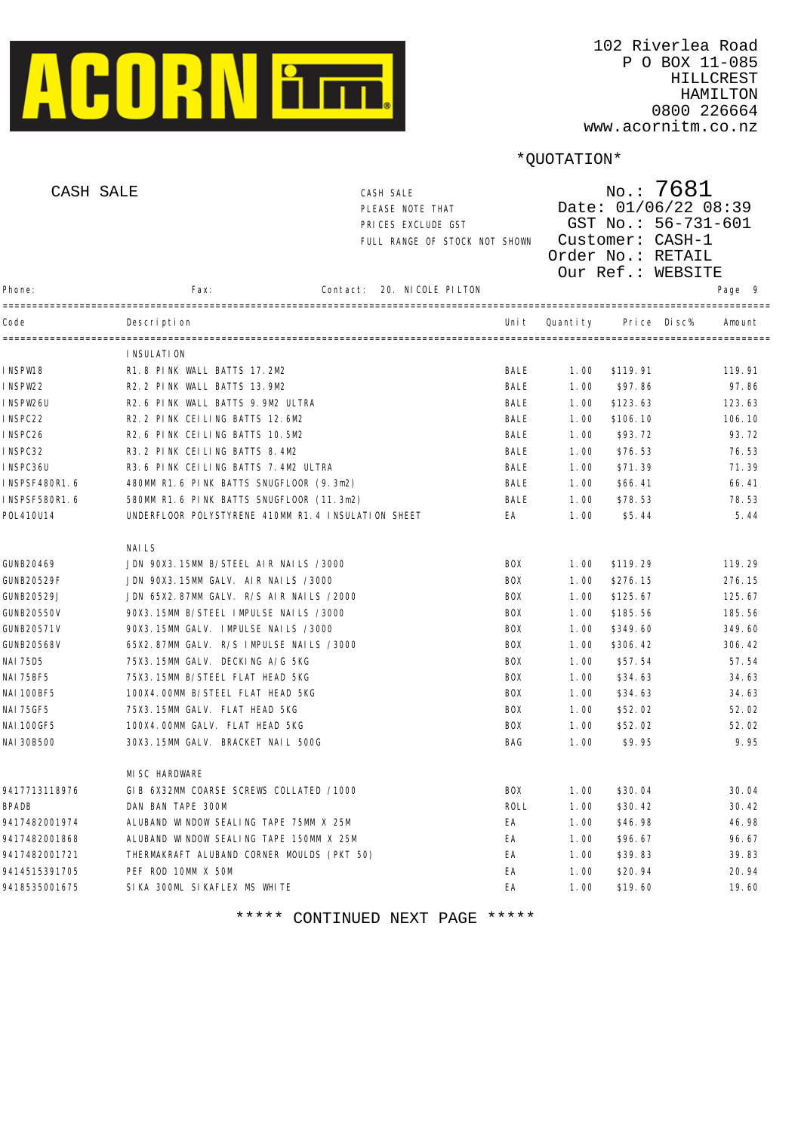

| CASH SALE     |                                                     | CASH SALE<br>PLEASE NOTE THAT<br>PRICES EXCLUDE GST<br>FULL RANGE OF STOCK NOT SHOWN |             |          | $N$ o.: 7681<br>Date: 01/06/22 08:39<br>GST No.: 56-731-601<br>Customer: CASH-1<br>Order No.: RETAIL<br>Our Ref.: WEBSITE |        |
|---------------|-----------------------------------------------------|--------------------------------------------------------------------------------------|-------------|----------|---------------------------------------------------------------------------------------------------------------------------|--------|
| Phone:        | Fax:                                                | 20. NICOLE PILTON<br>Contact:<br>-------------------------------                     |             |          |                                                                                                                           | Page 9 |
| Code          | Description<br>-------------------                  |                                                                                      | Uni t       | Quantity | Di sc%<br>Pri ce                                                                                                          | Amount |
|               | I NSULATI ON                                        |                                                                                      |             |          |                                                                                                                           |        |
| INSPW18       | R1.8 PINK WALL BATTS 17.2M2                         |                                                                                      | BALE        | 1.00     | \$119.91                                                                                                                  | 119.91 |
| INSPW22       | R2.2 PINK WALL BATTS 13.9M2                         |                                                                                      | BALE        | 1.00     | \$97.86                                                                                                                   | 97.86  |
| INSPW26U      | R2.6 PINK WALL BATTS 9.9M2 ULTRA                    |                                                                                      | BALE        | 1.00     | \$123.63                                                                                                                  | 123.63 |
| INSPC22       | R2. 2 PINK CEILING BATTS 12.6M2                     |                                                                                      | BALE        | 1.00     | \$106.10                                                                                                                  | 106.10 |
| INSPC26       | R2.6 PINK CEILING BATTS 10.5M2                      |                                                                                      | BALE        | 1.00     | \$93.72                                                                                                                   | 93.72  |
| INSPC32       | R3. 2 PINK CELLING BATTS 8.4M2                      |                                                                                      | BALE        | 1.00     | \$76.53                                                                                                                   | 76.53  |
| INSPC36U      | R3.6 PINK CEILING BATTS 7.4M2 ULTRA                 |                                                                                      | BALE        | 1.00     | \$71.39                                                                                                                   | 71.39  |
| INSPSF480R1.6 | 480MM R1.6 PINK BATTS SNUGFLOOR (9.3m2)             |                                                                                      | BALE        | 1.00     | \$66.41                                                                                                                   | 66.41  |
| INSPSF580R1.6 | 580MM R1.6 PINK BATTS SNUGFLOOR (11.3m2)            |                                                                                      | BALE        | 1.00     | \$78.53                                                                                                                   | 78.53  |
| P0L410U14     | UNDERFLOOR POLYSTYRENE 410MM R1. 4 INSULATION SHEET |                                                                                      | EA          | 1.00     | \$5.44                                                                                                                    | 5.44   |
|               | <b>NAILS</b>                                        |                                                                                      |             |          |                                                                                                                           |        |
| GUNB20469     | JDN 90X3.15MM B/STEEL AIR NAILS /3000               |                                                                                      | <b>BOX</b>  | 1.00     | \$119.29                                                                                                                  | 119.29 |
| GUNB20529F    | JDN 90X3.15MM GALV. AIR NAILS /3000                 |                                                                                      | <b>BOX</b>  | 1.00     | \$276.15                                                                                                                  | 276.15 |
| GUNB20529J    | JDN 65X2.87MM GALV. R/S AIR NAILS /2000             |                                                                                      | <b>BOX</b>  | 1.00     | \$125.67                                                                                                                  | 125.67 |
| GUNB20550V    | 90X3.15MM B/STEEL IMPULSE NAILS /3000               |                                                                                      | <b>BOX</b>  | 1.00     | \$185.56                                                                                                                  | 185.56 |
| GUNB20571V    | 90X3.15MM GALV. IMPULSE NAILS /3000                 |                                                                                      | <b>BOX</b>  | 1.00     | \$349.60                                                                                                                  | 349.60 |
| GUNB20568V    | 65X2.87MM GALV. R/S IMPULSE NAILS /3000             |                                                                                      | <b>BOX</b>  | 1.00     | \$306.42                                                                                                                  | 306.42 |
| NAI 75D5      | 75X3.15MM GALV. DECKING A/G 5KG                     |                                                                                      | <b>BOX</b>  | 1.00     | \$57.54                                                                                                                   | 57.54  |
| NAI 75BF5     | 75X3.15MM B/STEEL FLAT HEAD 5KG                     |                                                                                      | BOX         | 1.00     | \$34.63                                                                                                                   | 34.63  |
| NAI 100BF5    | 100X4.00MM B/STEEL FLAT HEAD 5KG                    |                                                                                      | BOX         | 1.00     | \$34.63                                                                                                                   | 34.63  |
| NAI 75GF5     | 75X3.15MM GALV. FLAT HEAD 5KG                       |                                                                                      | BOX         | 1.00     | \$52.02                                                                                                                   | 52.02  |
| NAI 100GF5    | 100X4.00MM GALV. FLAT HEAD 5KG                      |                                                                                      | BOX         | 1.00     | \$52.02                                                                                                                   | 52.02  |
| NAI 30B500    | 30X3.15MM GALV. BRACKET NAIL 500G                   |                                                                                      | BAG         | 1.00     | \$9.95                                                                                                                    | 9.95   |
|               | MI SC HARDWARE                                      |                                                                                      |             |          |                                                                                                                           |        |
| 9417713118976 | GIB 6X32MM COARSE SCREWS COLLATED /1000             |                                                                                      | <b>BOX</b>  | 1.00     | \$30.04                                                                                                                   | 30.04  |
| <b>BPADB</b>  | DAN BAN TAPE 300M                                   |                                                                                      | <b>ROLL</b> | 1.00     | \$30.42                                                                                                                   | 30.42  |
| 9417482001974 | ALUBAND WINDOW SEALING TAPE 75MM X 25M              |                                                                                      | EA          | 1.00     | \$46.98                                                                                                                   | 46.98  |
| 9417482001868 | ALUBAND WINDOW SEALING TAPE 150MM X 25M             |                                                                                      | EA          | 1.00     | \$96.67                                                                                                                   | 96.67  |
| 9417482001721 | THERMAKRAFT ALUBAND CORNER MOULDS (PKT 50)          |                                                                                      | EA          | 1.00     | \$39.83                                                                                                                   | 39.83  |
| 9414515391705 | PEF ROD 10MM X 50M                                  |                                                                                      | ЕA          | 1.00     | \$20.94                                                                                                                   | 20.94  |
| 9418535001675 | SIKA 300ML SIKAFLEX MS WHITE                        |                                                                                      | ЕA          | 1.00     | \$19.60                                                                                                                   | 19.60  |